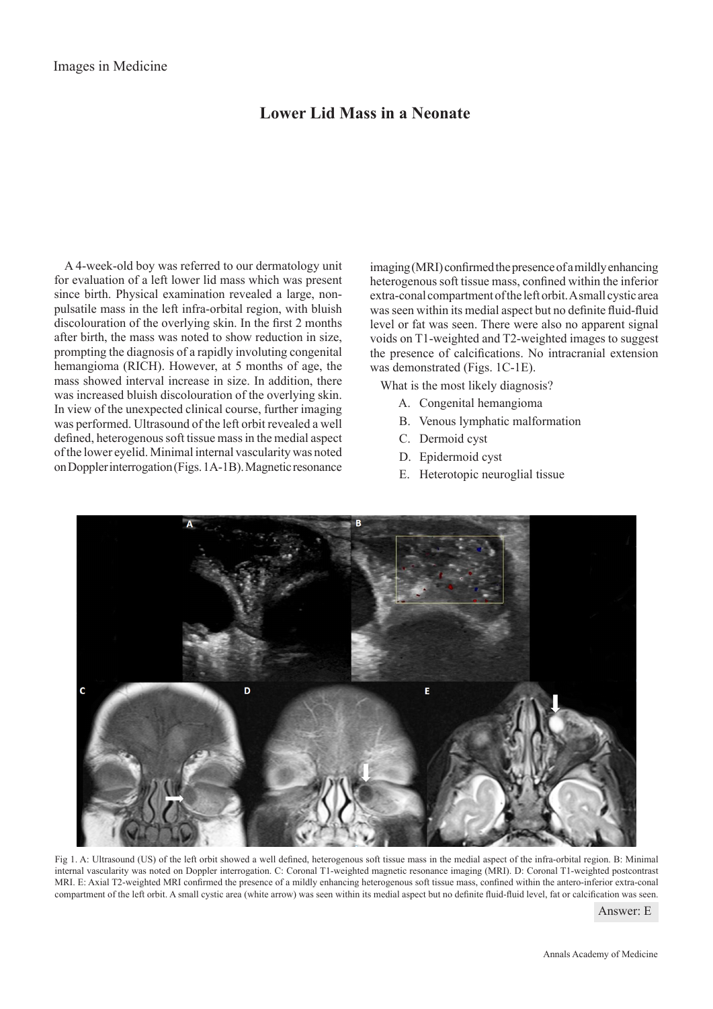## **Lower Lid Mass in a Neonate**

A 4-week-old boy was referred to our dermatology unit for evaluation of a left lower lid mass which was present since birth. Physical examination revealed a large, nonpulsatile mass in the left infra-orbital region, with bluish discolouration of the overlying skin. In the first 2 months after birth, the mass was noted to show reduction in size, prompting the diagnosis of a rapidly involuting congenital hemangioma (RICH). However, at 5 months of age, the mass showed interval increase in size. In addition, there was increased bluish discolouration of the overlying skin. In view of the unexpected clinical course, further imaging was performed. Ultrasound of the left orbit revealed a well defined, heterogenous soft tissue mass in the medial aspect of the lower eyelid. Minimal internal vascularity was noted on Doppler interrogation (Figs. 1A-1B). Magnetic resonance

imaging (MRI) confirmed the presence of a mildly enhancing heterogenous soft tissue mass, confined within the inferior extra-conal compartment of the left orbit. A small cystic area was seen within its medial aspect but no definite fluid-fluid level or fat was seen. There were also no apparent signal voids on T1-weighted and T2-weighted images to suggest the presence of calcifications. No intracranial extension was demonstrated (Figs. 1C-1E).

What is the most likely diagnosis?

- A. Congenital hemangioma
- B. Venous lymphatic malformation
- C. Dermoid cyst
- D. Epidermoid cyst
- E. Heterotopic neuroglial tissue



Fig 1. A: Ultrasound (US) of the left orbit showed a well defined, heterogenous soft tissue mass in the medial aspect of the infra-orbital region. B: Minimal internal vascularity was noted on Doppler interrogation. C: Coronal T1-weighted magnetic resonance imaging (MRI). D: Coronal T1-weighted postcontrast MRI. E: Axial T2-weighted MRI confirmed the presence of a mildly enhancing heterogenous soft tissue mass, confined within the antero-inferior extra-conal compartment of the left orbit. A small cystic area (white arrow) was seen within its medial aspect but no definite fluid-fluid level, fat or calcification was seen.

Answer: E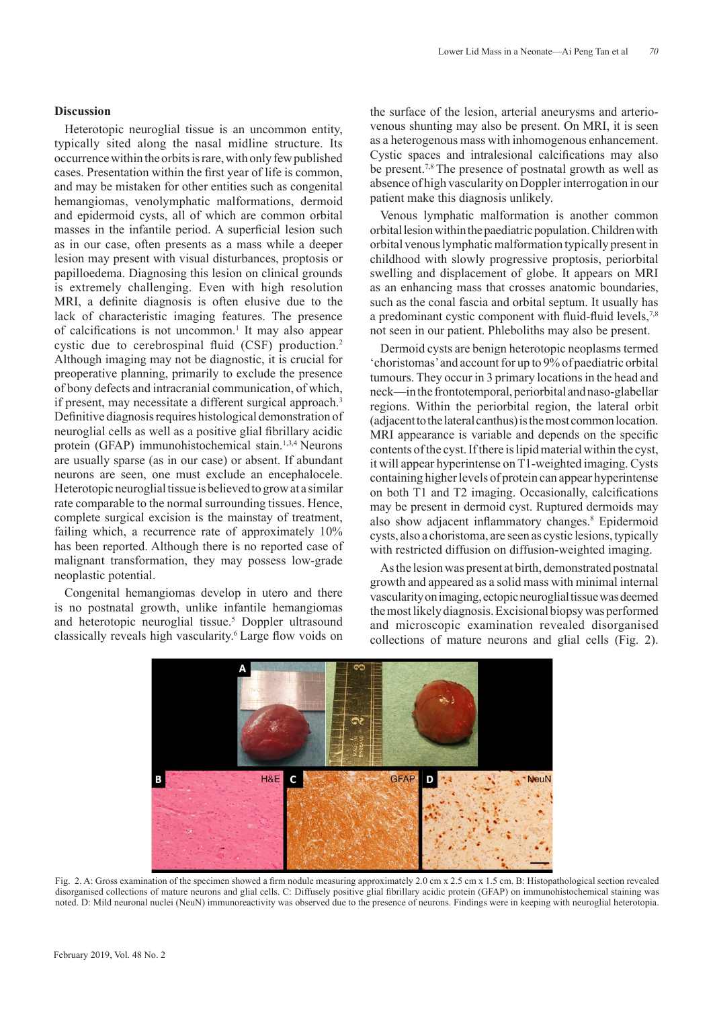## **Discussion**

Heterotopic neuroglial tissue is an uncommon entity, typically sited along the nasal midline structure. Its occurrence within the orbits is rare, with only few published cases. Presentation within the first year of life is common, and may be mistaken for other entities such as congenital hemangiomas, venolymphatic malformations, dermoid and epidermoid cysts, all of which are common orbital masses in the infantile period. A superficial lesion such as in our case, often presents as a mass while a deeper lesion may present with visual disturbances, proptosis or papilloedema. Diagnosing this lesion on clinical grounds is extremely challenging. Even with high resolution MRI, a definite diagnosis is often elusive due to the lack of characteristic imaging features. The presence of calcifications is not uncommon.<sup>1</sup> It may also appear cystic due to cerebrospinal fluid (CSF) production.<sup>2</sup> Although imaging may not be diagnostic, it is crucial for preoperative planning, primarily to exclude the presence of bony defects and intracranial communication, of which, if present, may necessitate a different surgical approach.<sup>3</sup> Definitive diagnosis requires histological demonstration of neuroglial cells as well as a positive glial fibrillary acidic protein (GFAP) immunohistochemical stain.<sup>1,3,4</sup> Neurons are usually sparse (as in our case) or absent. If abundant neurons are seen, one must exclude an encephalocele. Heterotopic neuroglial tissue is believed to grow at a similar rate comparable to the normal surrounding tissues. Hence, complete surgical excision is the mainstay of treatment, failing which, a recurrence rate of approximately 10% has been reported. Although there is no reported case of malignant transformation, they may possess low-grade neoplastic potential.

Congenital hemangiomas develop in utero and there is no postnatal growth, unlike infantile hemangiomas and heterotopic neuroglial tissue.<sup>5</sup> Doppler ultrasound classically reveals high vascularity.6 Large flow voids on

the surface of the lesion, arterial aneurysms and arteriovenous shunting may also be present. On MRI, it is seen as a heterogenous mass with inhomogenous enhancement. Cystic spaces and intralesional calcifications may also be present.<sup>7,8</sup> The presence of postnatal growth as well as absence of high vascularity on Doppler interrogation in our patient make this diagnosis unlikely.

Venous lymphatic malformation is another common orbital lesion within the paediatric population. Children with orbital venous lymphatic malformation typically present in childhood with slowly progressive proptosis, periorbital swelling and displacement of globe. It appears on MRI as an enhancing mass that crosses anatomic boundaries, such as the conal fascia and orbital septum. It usually has a predominant cystic component with fluid-fluid levels,<sup>7,8</sup> not seen in our patient. Phleboliths may also be present.

Dermoid cysts are benign heterotopic neoplasms termed 'choristomas' and account for up to 9% of paediatric orbital tumours. They occur in 3 primary locations in the head and neck—in the frontotemporal, periorbital and naso-glabellar regions. Within the periorbital region, the lateral orbit (adjacent to the lateral canthus) is the most common location. MRI appearance is variable and depends on the specific contents of the cyst. If there is lipid material within the cyst, it will appear hyperintense on T1-weighted imaging. Cysts containing higher levels of protein can appear hyperintense on both T1 and T2 imaging. Occasionally, calcifications may be present in dermoid cyst. Ruptured dermoids may also show adjacent inflammatory changes.<sup>8</sup> Epidermoid cysts, also a choristoma, are seen as cystic lesions, typically with restricted diffusion on diffusion-weighted imaging.

As the lesion was present at birth, demonstrated postnatal growth and appeared as a solid mass with minimal internal vascularity on imaging, ectopic neuroglial tissue was deemed the most likely diagnosis. Excisional biopsy was performed and microscopic examination revealed disorganised collections of mature neurons and glial cells (Fig. 2).



Fig. 2. A: Gross examination of the specimen showed a firm nodule measuring approximately 2.0 cm x 2.5 cm x 1.5 cm. B: Histopathological section revealed disorganised collections of mature neurons and glial cells. C: Diffusely positive glial fibrillary acidic protein (GFAP) on immunohistochemical staining was noted. D: Mild neuronal nuclei (NeuN) immunoreactivity was observed due to the presence of neurons. Findings were in keeping with neuroglial heterotopia.